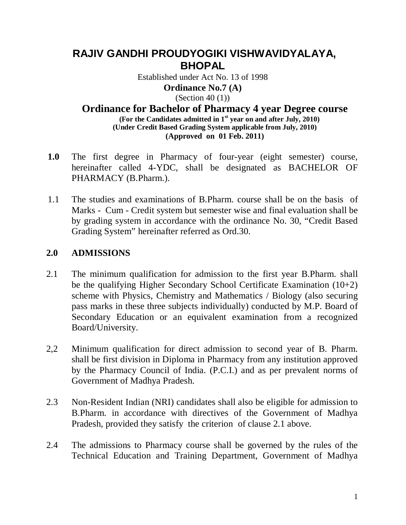# **RAJIV GANDHI PROUDYOGIKI VISHWAVIDYALAYA, BHOPAL**

Established under Act No. 13 of 1998 **Ordinance No.7 (A)** (Section 40  $(1)$ )

**Ordinance for Bachelor of Pharmacy 4 year Degree course (For the Candidates admitted in 1st year on and after July, 2010) (Under Credit Based Grading System applicable from July, 2010) (Approved on 01 Feb. 2011)** 

- **1.0** The first degree in Pharmacy of four-year (eight semester) course, hereinafter called 4-YDC, shall be designated as BACHELOR OF PHARMACY (B.Pharm.).
- 1.1 The studies and examinations of B.Pharm. course shall be on the basis of Marks - Cum - Credit system but semester wise and final evaluation shall be by grading system in accordance with the ordinance No. 30, "Credit Based Grading System" hereinafter referred as Ord.30.

### **2.0 ADMISSIONS**

- 2.1 The minimum qualification for admission to the first year B.Pharm. shall be the qualifying Higher Secondary School Certificate Examination (10+2) scheme with Physics, Chemistry and Mathematics / Biology (also securing pass marks in these three subjects individually) conducted by M.P. Board of Secondary Education or an equivalent examination from a recognized Board/University.
- 2,2 Minimum qualification for direct admission to second year of B. Pharm. shall be first division in Diploma in Pharmacy from any institution approved by the Pharmacy Council of India. (P.C.I.) and as per prevalent norms of Government of Madhya Pradesh.
- 2.3 Non-Resident Indian (NRI) candidates shall also be eligible for admission to B.Pharm. in accordance with directives of the Government of Madhya Pradesh, provided they satisfy the criterion of clause 2.1 above.
- 2.4 The admissions to Pharmacy course shall be governed by the rules of the Technical Education and Training Department, Government of Madhya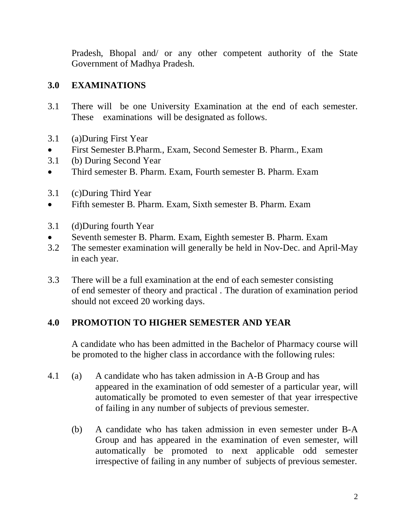Pradesh, Bhopal and/ or any other competent authority of the State Government of Madhya Pradesh.

## **3.0 EXAMINATIONS**

- 3.1 There will be one University Examination at the end of each semester. These examinations will be designated as follows.
- 3.1 (a)During First Year
- First Semester B.Pharm., Exam, Second Semester B. Pharm., Exam
- 3.1 (b) During Second Year
- Third semester B. Pharm. Exam, Fourth semester B. Pharm. Exam
- 3.1 (c)During Third Year
- Fifth semester B. Pharm. Exam, Sixth semester B. Pharm. Exam
- 3.1 (d)During fourth Year
- Seventh semester B. Pharm. Exam, Eighth semester B. Pharm. Exam
- 3.2 The semester examination will generally be held in Nov-Dec. and April-May in each year.
- 3.3 There will be a full examination at the end of each semester consisting of end semester of theory and practical . The duration of examination period should not exceed 20 working days.

### **4.0 PROMOTION TO HIGHER SEMESTER AND YEAR**

A candidate who has been admitted in the Bachelor of Pharmacy course will be promoted to the higher class in accordance with the following rules:

- 4.1 (a) A candidate who has taken admission in A-B Group and has appeared in the examination of odd semester of a particular year, will automatically be promoted to even semester of that year irrespective of failing in any number of subjects of previous semester.
	- (b) A candidate who has taken admission in even semester under B-A Group and has appeared in the examination of even semester, will automatically be promoted to next applicable odd semester irrespective of failing in any number of subjects of previous semester.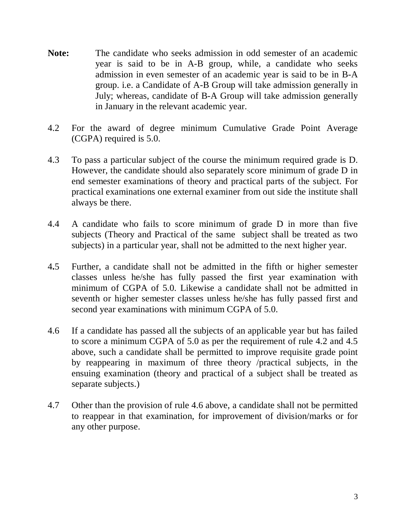- **Note:** The candidate who seeks admission in odd semester of an academic year is said to be in A-B group, while, a candidate who seeks admission in even semester of an academic year is said to be in B-A group. i.e. a Candidate of A-B Group will take admission generally in July; whereas, candidate of B-A Group will take admission generally in January in the relevant academic year.
- 4.2 For the award of degree minimum Cumulative Grade Point Average (CGPA) required is 5.0.
- 4.3 To pass a particular subject of the course the minimum required grade is D. However, the candidate should also separately score minimum of grade D in end semester examinations of theory and practical parts of the subject. For practical examinations one external examiner from out side the institute shall always be there.
- 4.4 A candidate who fails to score minimum of grade D in more than five subjects (Theory and Practical of the same subject shall be treated as two subjects) in a particular year, shall not be admitted to the next higher year.
- 4**.**5 Further, a candidate shall not be admitted in the fifth or higher semester classes unless he/she has fully passed the first year examination with minimum of CGPA of 5.0. Likewise a candidate shall not be admitted in seventh or higher semester classes unless he/she has fully passed first and second year examinations with minimum CGPA of 5.0.
- 4.6 If a candidate has passed all the subjects of an applicable year but has failed to score a minimum CGPA of 5.0 as per the requirement of rule 4.2 and 4.5 above, such a candidate shall be permitted to improve requisite grade point by reappearing in maximum of three theory /practical subjects, in the ensuing examination (theory and practical of a subject shall be treated as separate subjects.)
- 4.7 Other than the provision of rule 4.6 above, a candidate shall not be permitted to reappear in that examination, for improvement of division/marks or for any other purpose.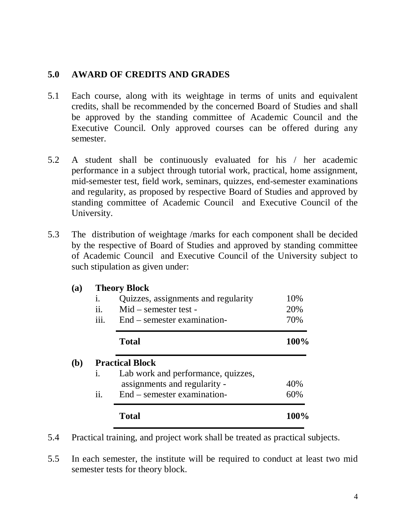### **5.0 AWARD OF CREDITS AND GRADES**

- 5.1 Each course, along with its weightage in terms of units and equivalent credits, shall be recommended by the concerned Board of Studies and shall be approved by the standing committee of Academic Council and the Executive Council. Only approved courses can be offered during any semester.
- 5.2 A student shall be continuously evaluated for his / her academic performance in a subject through tutorial work, practical, home assignment, mid-semester test, field work, seminars, quizzes, end-semester examinations and regularity, as proposed by respective Board of Studies and approved by standing committee of Academic Council and Executive Council of the University.
- 5.3 The distribution of weightage /marks for each component shall be decided by the respective of Board of Studies and approved by standing committee of Academic Council and Executive Council of the University subject to such stipulation as given under:

#### **(a) Theory Block**

| 1.             | Quizzes, assignments and regularity | 10%  |
|----------------|-------------------------------------|------|
| ii.            | Mid – semester test -               | 20%  |
| iii.           | End – semester examination-         | 70%  |
|                | <b>Total</b>                        | 100% |
|                | <b>Practical Block</b>              |      |
| $\mathbf{i}$ . | Lab work and performance, quizzes,  |      |
|                | assignments and regularity -        | 40%  |
| ii.            | End – semester examination-         | 60%  |
|                |                                     |      |

- 5.4 Practical training, and project work shall be treated as practical subjects.
- 5.5 In each semester, the institute will be required to conduct at least two mid semester tests for theory block.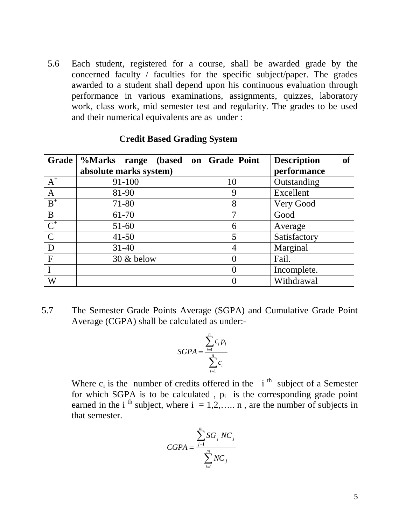5.6 Each student, registered for a course, shall be awarded grade by the concerned faculty / faculties for the specific subject/paper. The grades awarded to a student shall depend upon his continuous evaluation through performance in various examinations, assignments, quizzes, laboratory work, class work, mid semester test and regularity. The grades to be used and their numerical equivalents are as under :

| Grade            | %Marks range<br>(based) | on Grade Point | <b>of</b><br><b>Description</b> |
|------------------|-------------------------|----------------|---------------------------------|
|                  | absolute marks system)  |                | performance                     |
| $A^+$            | 91-100                  | 10             | Outstanding                     |
| $\mathbf{A}$     | 81-90                   | 9              | Excellent                       |
| $\mbox{\bf B}^+$ | 71-80                   | 8              | Very Good                       |
| B                | 61-70                   | 7              | Good                            |
| $\overline{C^+}$ | $51-60$                 | 6              | Average                         |
| $\mathbf C$      | $41 - 50$               | 5              | Satisfactory                    |
| D                | $31 - 40$               |                | Marginal                        |
| $\mathbf F$      | $30 \&$ below           |                | Fail.                           |
|                  |                         |                | Incomplete.                     |
| W                |                         |                | Withdrawal                      |

#### **Credit Based Grading System**

5.7 The Semester Grade Points Average (SGPA) and Cumulative Grade Point Average (CGPA) shall be calculated as under:-

$$
SGPA = \frac{\sum_{i=1}^{n} c_i p_i}{\sum_{i=1}^{n} c_i}
$$

Where  $c_i$  is the number of credits offered in the i<sup>th</sup> subject of a Semester for which SGPA is to be calculated,  $p_i$  is the corresponding grade point earned in the i<sup>th</sup> subject, where  $i = 1, 2, \ldots$  n, are the number of subjects in that semester.

$$
CGPA = \frac{\sum_{j=1}^{m} SG_j NC_j}{\sum_{j=1}^{m} NC_j}
$$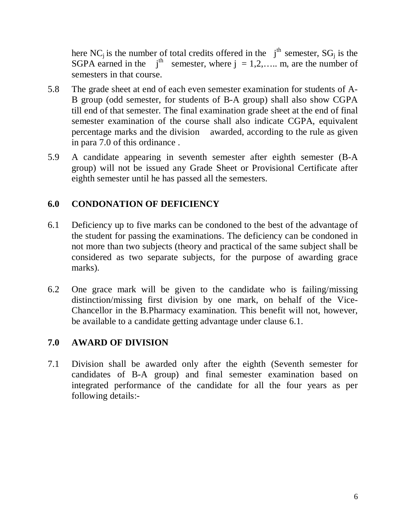here NC<sub>i</sub> is the number of total credits offered in the  $j<sup>th</sup>$  semester, SG<sub>i</sub> is the SGPA earned in the  $i<sup>th</sup>$  semester, where  $j = 1, 2, \ldots$  m, are the number of semesters in that course.

- 5.8 The grade sheet at end of each even semester examination for students of A-B group (odd semester, for students of B-A group) shall also show CGPA till end of that semester. The final examination grade sheet at the end of final semester examination of the course shall also indicate CGPA, equivalent percentage marks and the division awarded, according to the rule as given in para 7.0 of this ordinance .
- 5.9 A candidate appearing in seventh semester after eighth semester (B-A group) will not be issued any Grade Sheet or Provisional Certificate after eighth semester until he has passed all the semesters.

## **6.0 CONDONATION OF DEFICIENCY**

- 6.1 Deficiency up to five marks can be condoned to the best of the advantage of the student for passing the examinations. The deficiency can be condoned in not more than two subjects (theory and practical of the same subject shall be considered as two separate subjects, for the purpose of awarding grace marks).
- 6.2 One grace mark will be given to the candidate who is failing/missing distinction/missing first division by one mark, on behalf of the Vice-Chancellor in the B.Pharmacy examination. This benefit will not, however, be available to a candidate getting advantage under clause 6.1.

### **7.0 AWARD OF DIVISION**

7.1 Division shall be awarded only after the eighth (Seventh semester for candidates of B-A group) and final semester examination based on integrated performance of the candidate for all the four years as per following details:-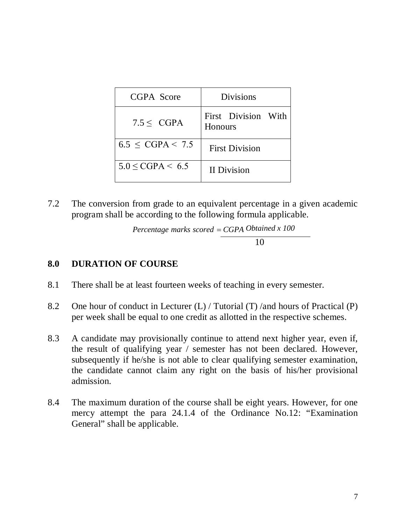| CGPA Score               | <b>Divisions</b>                      |
|--------------------------|---------------------------------------|
| $7.5 <$ CGPA             | First Division With<br><b>Honours</b> |
| $6.5 \leq CGPA \leq 7.5$ | <b>First Division</b>                 |
| $5.0 \leq CGPA \leq 6.5$ | <b>II</b> Division                    |

7.2 The conversion from grade to an equivalent percentage in a given academic program shall be according to the following formula applicable.

 *Obtained x 100 Percentage marks scored CGPA*10

#### **8.0 DURATION OF COURSE**

- 8.1 There shall be at least fourteen weeks of teaching in every semester.
- 8.2 One hour of conduct in Lecturer (L) / Tutorial (T) /and hours of Practical (P) per week shall be equal to one credit as allotted in the respective schemes.
- 8.3 A candidate may provisionally continue to attend next higher year, even if, the result of qualifying year / semester has not been declared. However, subsequently if he/she is not able to clear qualifying semester examination, the candidate cannot claim any right on the basis of his/her provisional admission.
- 8.4 The maximum duration of the course shall be eight years. However, for one mercy attempt the para 24.1.4 of the Ordinance No.12: "Examination General" shall be applicable.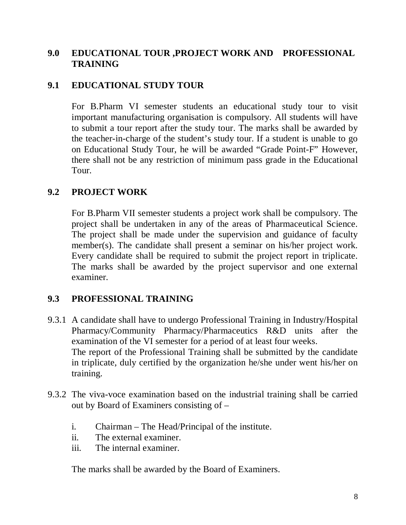### **9.0 EDUCATIONAL TOUR ,PROJECT WORK AND PROFESSIONAL TRAINING**

### **9.1 EDUCATIONAL STUDY TOUR**

For B.Pharm VI semester students an educational study tour to visit important manufacturing organisation is compulsory. All students will have to submit a tour report after the study tour. The marks shall be awarded by the teacher-in-charge of the student's study tour. If a student is unable to go on Educational Study Tour, he will be awarded "Grade Point-F" However, there shall not be any restriction of minimum pass grade in the Educational Tour.

### **9.2 PROJECT WORK**

For B.Pharm VII semester students a project work shall be compulsory. The project shall be undertaken in any of the areas of Pharmaceutical Science. The project shall be made under the supervision and guidance of faculty member(s). The candidate shall present a seminar on his/her project work. Every candidate shall be required to submit the project report in triplicate. The marks shall be awarded by the project supervisor and one external examiner.

### **9.3 PROFESSIONAL TRAINING**

- 9.3.1 A candidate shall have to undergo Professional Training in Industry/Hospital Pharmacy/Community Pharmacy/Pharmaceutics R&D units after the examination of the VI semester for a period of at least four weeks. The report of the Professional Training shall be submitted by the candidate in triplicate, duly certified by the organization he/she under went his/her on training.
- 9.3.2 The viva-voce examination based on the industrial training shall be carried out by Board of Examiners consisting of –
	- i. Chairman The Head/Principal of the institute.
	- ii. The external examiner.
	- iii. The internal examiner.

The marks shall be awarded by the Board of Examiners.